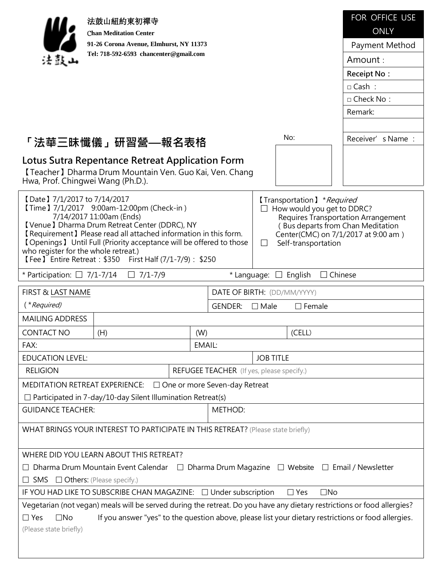|                                                                                                                                                                                                                                                                                                                                                                                                                                                                                                                                                                                                                                                              | 法鼓山紐約東初禪寺                                                                                 |     |                                                  |                  |                             | FOR OFFICE USE     |
|--------------------------------------------------------------------------------------------------------------------------------------------------------------------------------------------------------------------------------------------------------------------------------------------------------------------------------------------------------------------------------------------------------------------------------------------------------------------------------------------------------------------------------------------------------------------------------------------------------------------------------------------------------------|-------------------------------------------------------------------------------------------|-----|--------------------------------------------------|------------------|-----------------------------|--------------------|
| <b>Chan Meditation Center</b>                                                                                                                                                                                                                                                                                                                                                                                                                                                                                                                                                                                                                                |                                                                                           |     | <b>ONLY</b>                                      |                  |                             |                    |
| 91-26 Corona Avenue, Elmhurst, NY 11373                                                                                                                                                                                                                                                                                                                                                                                                                                                                                                                                                                                                                      |                                                                                           |     |                                                  |                  | Payment Method              |                    |
| 法鼓山                                                                                                                                                                                                                                                                                                                                                                                                                                                                                                                                                                                                                                                          | Tel: 718-592-6593 chancenter@gmail.com                                                    |     |                                                  |                  |                             | Amount:            |
|                                                                                                                                                                                                                                                                                                                                                                                                                                                                                                                                                                                                                                                              |                                                                                           |     |                                                  |                  |                             | <b>Receipt No:</b> |
|                                                                                                                                                                                                                                                                                                                                                                                                                                                                                                                                                                                                                                                              |                                                                                           |     |                                                  |                  |                             | $\Box$ Cash:       |
|                                                                                                                                                                                                                                                                                                                                                                                                                                                                                                                                                                                                                                                              |                                                                                           |     |                                                  |                  |                             | $\Box$ Check No:   |
|                                                                                                                                                                                                                                                                                                                                                                                                                                                                                                                                                                                                                                                              |                                                                                           |     |                                                  |                  |                             | Remark:            |
|                                                                                                                                                                                                                                                                                                                                                                                                                                                                                                                                                                                                                                                              |                                                                                           |     |                                                  |                  |                             |                    |
|                                                                                                                                                                                                                                                                                                                                                                                                                                                                                                                                                                                                                                                              | 「法華三昧懺儀」研習營—報名表格                                                                          |     |                                                  |                  | No:                         | Receiver's Name:   |
| Lotus Sutra Repentance Retreat Application Form<br>[Teacher] Dharma Drum Mountain Ven. Guo Kai, Ven. Chang<br>Hwa, Prof. Chingwei Wang (Ph.D.).                                                                                                                                                                                                                                                                                                                                                                                                                                                                                                              |                                                                                           |     |                                                  |                  |                             |                    |
| [Date ] 7/1/2017 to 7/14/2017<br>[Transportation] *Required<br>[Time ] 7/1/2017 9:00am-12:00pm (Check-in)<br>How would you get to DDRC?<br>7/14/2017 11:00am (Ends)<br><b>Requires Transportation Arrangement</b><br><b>【Venue】 Dharma Drum Retreat Center (DDRC), NY</b><br>(Bus departs from Chan Meditation<br><b>[</b> Requirement ] Please read all attached information in this form.<br>Center(CMC) on 7/1/2017 at 9:00 am)<br><b>[Openings]</b> Until Full (Priority acceptance will be offered to those<br>Self-transportation<br>$\Box$<br>who register for the whole retreat.)<br><b>[Fee ] Entire Retreat: \$350 First Half (7/1-7/9): \$250</b> |                                                                                           |     |                                                  |                  |                             |                    |
| * Participation: $\Box$ 7/1-7/14                                                                                                                                                                                                                                                                                                                                                                                                                                                                                                                                                                                                                             | $\Box$ 7/1-7/9                                                                            |     |                                                  |                  | * Language: $\Box$ English  | $\Box$ Chinese     |
| FIRST & LAST NAME                                                                                                                                                                                                                                                                                                                                                                                                                                                                                                                                                                                                                                            |                                                                                           |     |                                                  |                  | DATE OF BIRTH: (DD/MM/YYYY) |                    |
|                                                                                                                                                                                                                                                                                                                                                                                                                                                                                                                                                                                                                                                              |                                                                                           |     |                                                  |                  |                             |                    |
| ( <i>*Required</i> )                                                                                                                                                                                                                                                                                                                                                                                                                                                                                                                                                                                                                                         |                                                                                           |     | <b>GENDER:</b>                                   | $\Box$ Male      | $\square$ Female            |                    |
| <b>MAILING ADDRESS</b>                                                                                                                                                                                                                                                                                                                                                                                                                                                                                                                                                                                                                                       |                                                                                           |     |                                                  |                  |                             |                    |
| <b>CONTACT NO</b>                                                                                                                                                                                                                                                                                                                                                                                                                                                                                                                                                                                                                                            | (H)                                                                                       | (W) |                                                  |                  | (CELL)                      |                    |
| FAX:                                                                                                                                                                                                                                                                                                                                                                                                                                                                                                                                                                                                                                                         |                                                                                           |     | EMAIL:                                           |                  |                             |                    |
| <b>EDUCATION LEVEL:</b>                                                                                                                                                                                                                                                                                                                                                                                                                                                                                                                                                                                                                                      |                                                                                           |     |                                                  | <b>JOB TITLE</b> |                             |                    |
| <b>RELIGION</b>                                                                                                                                                                                                                                                                                                                                                                                                                                                                                                                                                                                                                                              |                                                                                           |     | <b>REFUGEE TEACHER</b> (If yes, please specify.) |                  |                             |                    |
|                                                                                                                                                                                                                                                                                                                                                                                                                                                                                                                                                                                                                                                              | MEDITATION RETREAT EXPERIENCE: □ One or more Seven-day Retreat                            |     |                                                  |                  |                             |                    |
|                                                                                                                                                                                                                                                                                                                                                                                                                                                                                                                                                                                                                                                              | $\Box$ Participated in 7-day/10-day Silent Illumination Retreat(s)                        |     |                                                  |                  |                             |                    |
| <b>GUIDANCE TEACHER:</b>                                                                                                                                                                                                                                                                                                                                                                                                                                                                                                                                                                                                                                     |                                                                                           |     | METHOD:                                          |                  |                             |                    |
|                                                                                                                                                                                                                                                                                                                                                                                                                                                                                                                                                                                                                                                              | WHAT BRINGS YOUR INTEREST TO PARTICIPATE IN THIS RETREAT? (Please state briefly)          |     |                                                  |                  |                             |                    |
|                                                                                                                                                                                                                                                                                                                                                                                                                                                                                                                                                                                                                                                              | WHERE DID YOU LEARN ABOUT THIS RETREAT?                                                   |     |                                                  |                  |                             |                    |
|                                                                                                                                                                                                                                                                                                                                                                                                                                                                                                                                                                                                                                                              | Dharma Drum Mountain Event Calendar □ Dharma Drum Magazine □ Website □ Email / Newsletter |     |                                                  |                  |                             |                    |
| $\Box$ SMS $\Box$ Others: (Please specify.)                                                                                                                                                                                                                                                                                                                                                                                                                                                                                                                                                                                                                  |                                                                                           |     |                                                  |                  |                             |                    |
|                                                                                                                                                                                                                                                                                                                                                                                                                                                                                                                                                                                                                                                              | IF YOU HAD LIKE TO SUBSCRIBE CHAN MAGAZINE: □ Under subscription                          |     |                                                  |                  | $\square$ No<br>$\Box$ Yes  |                    |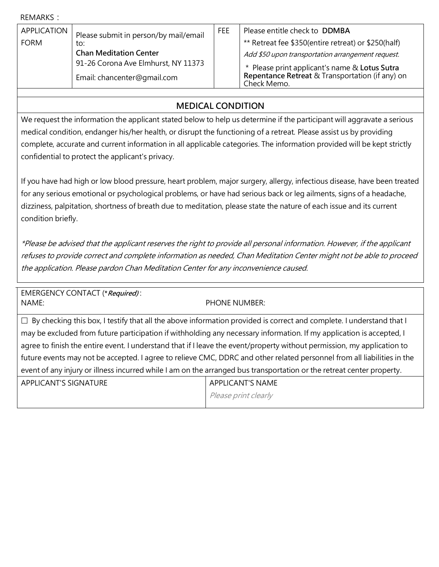REMARKS:

| APPLICATION | Please submit in person/by mail/email<br>to:<br><b>Chan Meditation Center</b><br>91-26 Corona Ave Elmhurst, NY 11373 | FEE | Please entitle check to DDMBA                                  |
|-------------|----------------------------------------------------------------------------------------------------------------------|-----|----------------------------------------------------------------|
| <b>FORM</b> |                                                                                                                      |     | ** Retreat fee \$350(entire retreat) or \$250(half)            |
|             |                                                                                                                      |     | Add \$50 upon transportation arrangement request.              |
|             |                                                                                                                      |     | * Please print applicant's name & Lotus Sutra                  |
|             | Email: chancenter@gmail.com                                                                                          |     | Repentance Retreat & Transportation (if any) on<br>Check Memo. |

## **MEDICAL CONDITION**

We request the information the applicant stated below to help us determine if the participant will aggravate a serious medical condition, endanger his/her health, or disrupt the functioning of a retreat. Please assist us by providing complete, accurate and current information in all applicable categories. The information provided will be kept strictly confidential to protect the applicant's privacy.

If you have had high or low blood pressure, heart problem, major surgery, allergy, infectious disease, have been treated for any serious emotional or psychological problems, or have had serious back or leg ailments, signs of a headache, dizziness, palpitation, shortness of breath due to meditation, please state the nature of each issue and its current condition briefly.

\*Please be advised that the applicant reserves the right to provide all personal information. However, if the applicant refuses to provide correct and complete information as needed, Chan Meditation Center might not be able to proceed the application. Please pardon Chan Meditation Center for any inconvenience caused.

EMERGENCY CONTACT (**\*Required)** : NAME: PHONE NUMBER:

 $\Box$  By checking this box, I testify that all the above information provided is correct and complete. I understand that I may be excluded from future participation if withholding any necessary information. If my application is accepted, I agree to finish the entire event. I understand that if I leave the event/property without permission, my application to future events may not be accepted. I agree to relieve CMC, DDRC and other related personnel from all liabilities in the event of any injury or illness incurred while I am on the arranged bus transportation or the retreat center property.

| <b>APPLICANT'S SIGNATURE</b> | <b>APPLICANT'S NAME</b> |
|------------------------------|-------------------------|
|                              | Please print clearly    |